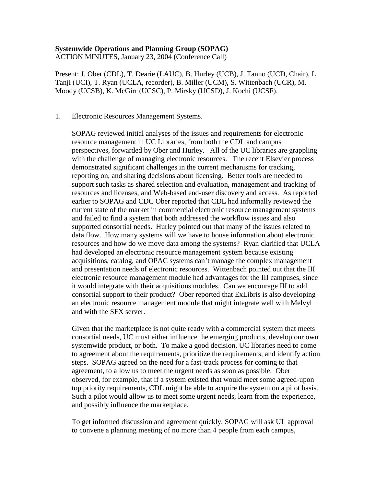# **Systemwide Operations and Planning Group (SOPAG)**

ACTION MINUTES, January 23, 2004 (Conference Call)

Present: J. Ober (CDL), T. Dearie (LAUC), B. Hurley (UCB), J. Tanno (UCD, Chair), L. Tanji (UCI), T. Ryan (UCLA, recorder), B. Miller (UCM), S. Wittenbach (UCR), M. Moody (UCSB), K. McGirr (UCSC), P. Mirsky (UCSD), J. Kochi (UCSF).

#### 1. Electronic Resources Management Systems.

SOPAG reviewed initial analyses of the issues and requirements for electronic resource management in UC Libraries, from both the CDL and campus perspectives, forwarded by Ober and Hurley. All of the UC libraries are grappling with the challenge of managing electronic resources. The recent Elsevier process demonstrated significant challenges in the current mechanisms for tracking, reporting on, and sharing decisions about licensing. Better tools are needed to support such tasks as shared selection and evaluation, management and tracking of resources and licenses, and Web-based end-user discovery and access. As reported earlier to SOPAG and CDC Ober reported that CDL had informally reviewed the current state of the market in commercial electronic resource management systems and failed to find a system that both addressed the workflow issues and also supported consortial needs. Hurley pointed out that many of the issues related to data flow. How many systems will we have to house information about electronic resources and how do we move data among the systems? Ryan clarified that UCLA had developed an electronic resource management system because existing acquisitions, catalog, and OPAC systems can't manage the complex management and presentation needs of electronic resources. Wittenbach pointed out that the III electronic resource management module had advantages for the III campuses, since it would integrate with their acquisitions modules. Can we encourage III to add consortial support to their product? Ober reported that ExLibris is also developing an electronic resource management module that might integrate well with Melvyl and with the SFX server.

Given that the marketplace is not quite ready with a commercial system that meets consortial needs, UC must either influence the emerging products, develop our own systemwide product, or both. To make a good decision, UC libraries need to come to agreement about the requirements, prioritize the requirements, and identify action steps. SOPAG agreed on the need for a fast-track process for coming to that agreement, to allow us to meet the urgent needs as soon as possible. Ober observed, for example, that if a system existed that would meet some agreed-upon top priority requirements, CDL might be able to acquire the system on a pilot basis. Such a pilot would allow us to meet some urgent needs, learn from the experience, and possibly influence the marketplace.

To get informed discussion and agreement quickly, SOPAG will ask UL approval to convene a planning meeting of no more than 4 people from each campus,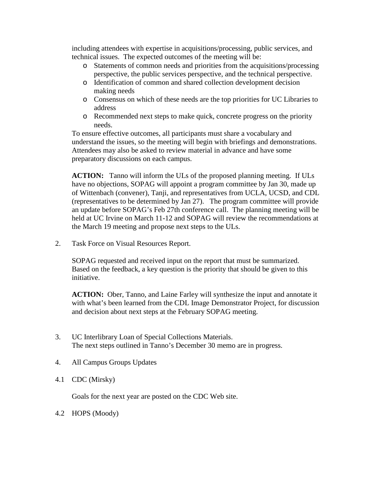including attendees with expertise in acquisitions/processing, public services, and technical issues. The expected outcomes of the meeting will be:

- o Statements of common needs and priorities from the acquisitions/processing perspective, the public services perspective, and the technical perspective.
- o Identification of common and shared collection development decision making needs
- o Consensus on which of these needs are the top priorities for UC Libraries to address
- o Recommended next steps to make quick, concrete progress on the priority needs.

To ensure effective outcomes, all participants must share a vocabulary and understand the issues, so the meeting will begin with briefings and demonstrations. Attendees may also be asked to review material in advance and have some preparatory discussions on each campus.

**ACTION:** Tanno will inform the ULs of the proposed planning meeting. If ULs have no objections, SOPAG will appoint a program committee by Jan 30, made up of Wittenbach (convener), Tanji, and representatives from UCLA, UCSD, and CDL (representatives to be determined by Jan 27). The program committee will provide an update before SOPAG's Feb 27th conference call. The planning meeting will be held at UC Irvine on March 11-12 and SOPAG will review the recommendations at the March 19 meeting and propose next steps to the ULs.

2. Task Force on Visual Resources Report.

SOPAG requested and received input on the report that must be summarized. Based on the feedback, a key question is the priority that should be given to this initiative.

**ACTION:** Ober, Tanno, and Laine Farley will synthesize the input and annotate it with what's been learned from the CDL Image Demonstrator Project, for discussion and decision about next steps at the February SOPAG meeting.

- 3. UC Interlibrary Loan of Special Collections Materials. The next steps outlined in Tanno's December 30 memo are in progress.
- 4. All Campus Groups Updates
- 4.1 CDC (Mirsky)

Goals for the next year are posted on the CDC Web site.

4.2 HOPS (Moody)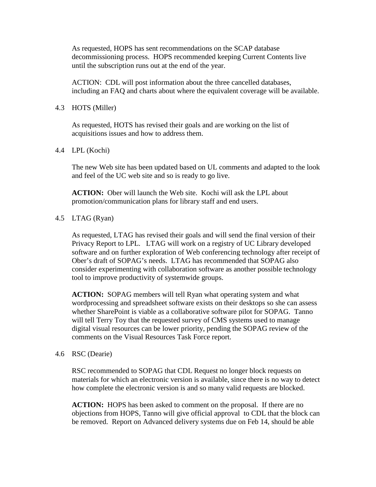As requested, HOPS has sent recommendations on the SCAP database decommissioning process. HOPS recommended keeping Current Contents live until the subscription runs out at the end of the year.

ACTION: CDL will post information about the three cancelled databases, including an FAQ and charts about where the equivalent coverage will be available.

### 4.3 HOTS (Miller)

As requested, HOTS has revised their goals and are working on the list of acquisitions issues and how to address them.

4.4 LPL (Kochi)

The new Web site has been updated based on UL comments and adapted to the look and feel of the UC web site and so is ready to go live.

**ACTION:** Ober will launch the Web site. Kochi will ask the LPL about promotion/communication plans for library staff and end users.

## 4.5 LTAG (Ryan)

As requested, LTAG has revised their goals and will send the final version of their Privacy Report to LPL. LTAG will work on a registry of UC Library developed software and on further exploration of Web conferencing technology after receipt of Ober's draft of SOPAG's needs. LTAG has recommended that SOPAG also consider experimenting with collaboration software as another possible technology tool to improve productivity of systemwide groups.

**ACTION:** SOPAG members will tell Ryan what operating system and what wordprocessing and spreadsheet software exists on their desktops so she can assess whether SharePoint is viable as a collaborative software pilot for SOPAG. Tanno will tell Terry Toy that the requested survey of CMS systems used to manage digital visual resources can be lower priority, pending the SOPAG review of the comments on the Visual Resources Task Force report.

### 4.6 RSC (Dearie)

RSC recommended to SOPAG that CDL Request no longer block requests on materials for which an electronic version is available, since there is no way to detect how complete the electronic version is and so many valid requests are blocked.

**ACTION:** HOPS has been asked to comment on the proposal. If there are no objections from HOPS, Tanno will give official approval to CDL that the block can be removed. Report on Advanced delivery systems due on Feb 14, should be able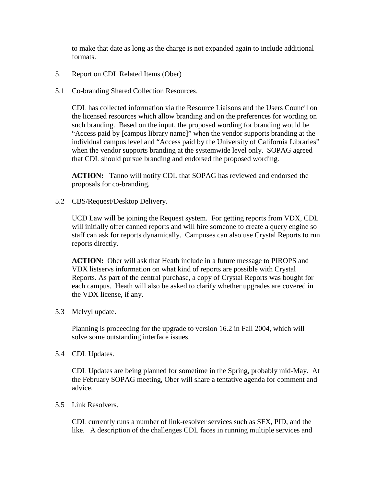to make that date as long as the charge is not expanded again to include additional formats.

- 5. Report on CDL Related Items (Ober)
- 5.1 Co-branding Shared Collection Resources.

CDL has collected information via the Resource Liaisons and the Users Council on the licensed resources which allow branding and on the preferences for wording on such branding. Based on the input, the proposed wording for branding would be "Access paid by [campus library name]" when the vendor supports branding at the individual campus level and "Access paid by the University of California Libraries" when the vendor supports branding at the systemwide level only. SOPAG agreed that CDL should pursue branding and endorsed the proposed wording.

**ACTION:** Tanno will notify CDL that SOPAG has reviewed and endorsed the proposals for co-branding.

5.2 CBS/Request/Desktop Delivery.

UCD Law will be joining the Request system. For getting reports from VDX, CDL will initially offer canned reports and will hire someone to create a query engine so staff can ask for reports dynamically. Campuses can also use Crystal Reports to run reports directly.

**ACTION:** Ober will ask that Heath include in a future message to PIROPS and VDX listservs information on what kind of reports are possible with Crystal Reports. As part of the central purchase, a copy of Crystal Reports was bought for each campus. Heath will also be asked to clarify whether upgrades are covered in the VDX license, if any.

5.3 Melvyl update.

Planning is proceeding for the upgrade to version 16.2 in Fall 2004, which will solve some outstanding interface issues.

5.4 CDL Updates.

CDL Updates are being planned for sometime in the Spring, probably mid-May. At the February SOPAG meeting, Ober will share a tentative agenda for comment and advice.

5.5 Link Resolvers.

CDL currently runs a number of link-resolver services such as SFX, PID, and the like. A description of the challenges CDL faces in running multiple services and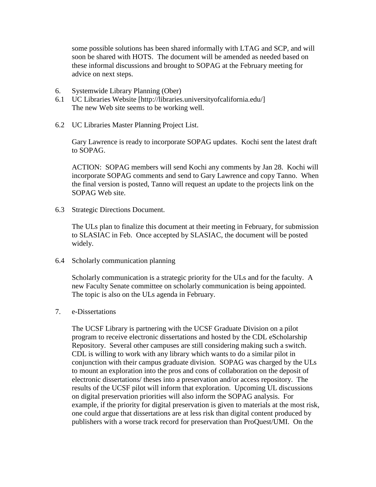some possible solutions has been shared informally with LTAG and SCP, and will soon be shared with HOTS. The document will be amended as needed based on these informal discussions and brought to SOPAG at the February meeting for advice on next steps.

- 6. Systemwide Library Planning (Ober)
- 6.1 UC Libraries Website [http://libraries.universityofcalifornia.edu/] The new Web site seems to be working well.
- 6.2 UC Libraries Master Planning Project List.

Gary Lawrence is ready to incorporate SOPAG updates. Kochi sent the latest draft to SOPAG.

ACTION: SOPAG members will send Kochi any comments by Jan 28. Kochi will incorporate SOPAG comments and send to Gary Lawrence and copy Tanno. When the final version is posted, Tanno will request an update to the projects link on the SOPAG Web site.

6.3 Strategic Directions Document.

The ULs plan to finalize this document at their meeting in February, for submission to SLASIAC in Feb. Once accepted by SLASIAC, the document will be posted widely.

6.4 Scholarly communication planning

Scholarly communication is a strategic priority for the ULs and for the faculty. A new Faculty Senate committee on scholarly communication is being appointed. The topic is also on the ULs agenda in February.

#### 7. e-Dissertations

The UCSF Library is partnering with the UCSF Graduate Division on a pilot program to receive electronic dissertations and hosted by the CDL eScholarship Repository. Several other campuses are still considering making such a switch. CDL is willing to work with any library which wants to do a similar pilot in conjunction with their campus graduate division. SOPAG was charged by the ULs to mount an exploration into the pros and cons of collaboration on the deposit of electronic dissertations/ theses into a preservation and/or access repository. The results of the UCSF pilot will inform that exploration. Upcoming UL discussions on digital preservation priorities will also inform the SOPAG analysis. For example, if the priority for digital preservation is given to materials at the most risk, one could argue that dissertations are at less risk than digital content produced by publishers with a worse track record for preservation than ProQuest/UMI. On the